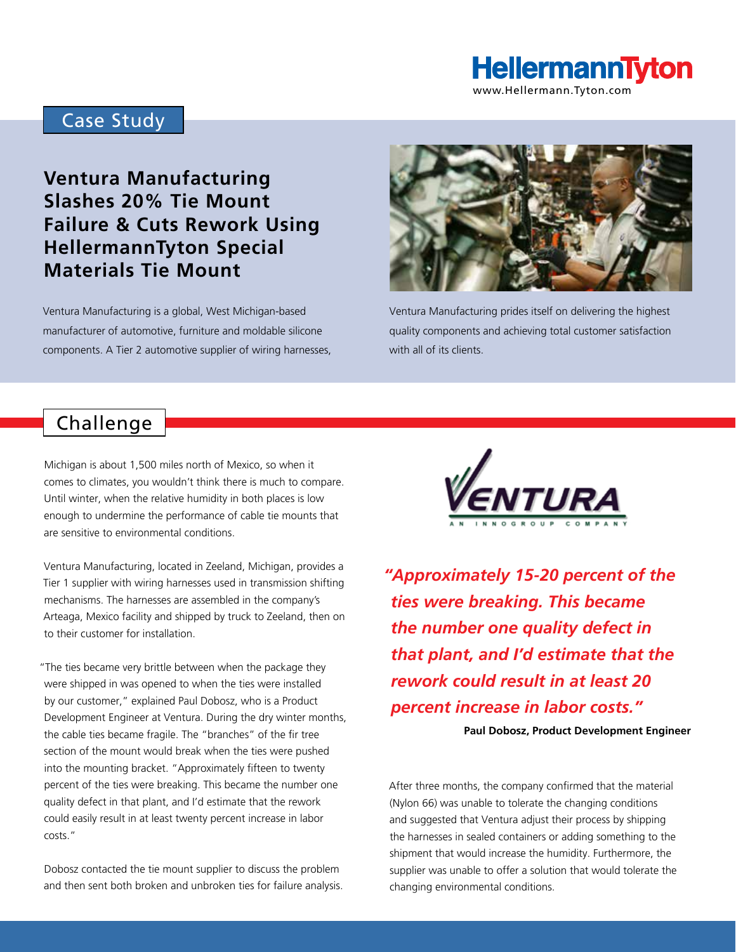

www.Hellermann.Tyton.com

## Case Study

# **Ventura Manufacturing Slashes 20% Tie Mount Failure & Cuts Rework Using HellermannTyton Special Materials Tie Mount**

Ventura Manufacturing is a global, West Michigan-based manufacturer of automotive, furniture and moldable silicone components. A Tier 2 automotive supplier of wiring harnesses,



Ventura Manufacturing prides itself on delivering the highest quality components and achieving total customer satisfaction with all of its clients.

## Challenge

Michigan is about 1,500 miles north of Mexico, so when it comes to climates, you wouldn't think there is much to compare. Until winter, when the relative humidity in both places is low enough to undermine the performance of cable tie mounts that are sensitive to environmental conditions.

Ventura Manufacturing, located in Zeeland, Michigan, provides a Tier 1 supplier with wiring harnesses used in transmission shifting mechanisms. The harnesses are assembled in the company's Arteaga, Mexico facility and shipped by truck to Zeeland, then on to their customer for installation.

"The ties became very brittle between when the package they were shipped in was opened to when the ties were installed by our customer," explained Paul Dobosz, who is a Product Development Engineer at Ventura. During the dry winter months, the cable ties became fragile. The "branches" of the fir tree section of the mount would break when the ties were pushed into the mounting bracket. "Approximately fifteen to twenty percent of the ties were breaking. This became the number one quality defect in that plant, and I'd estimate that the rework could easily result in at least twenty percent increase in labor costs."

Dobosz contacted the tie mount supplier to discuss the problem and then sent both broken and unbroken ties for failure analysis.



*"Approximately 15-20 percent of the ties were breaking. This became the number one quality defect in that plant, and I'd estimate that the rework could result in at least 20 percent increase in labor costs."*

**Paul Dobosz, Product Development Engineer**

After three months, the company confirmed that the material (Nylon 66) was unable to tolerate the changing conditions and suggested that Ventura adjust their process by shipping the harnesses in sealed containers or adding something to the shipment that would increase the humidity. Furthermore, the supplier was unable to offer a solution that would tolerate the changing environmental conditions.